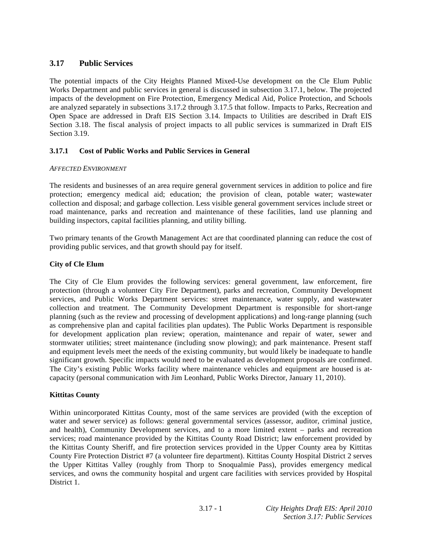# **3.17 Public Services**

The potential impacts of the City Heights Planned Mixed-Use development on the Cle Elum Public Works Department and public services in general is discussed in subsection 3.17.1, below. The projected impacts of the development on Fire Protection, Emergency Medical Aid, Police Protection, and Schools are analyzed separately in subsections 3.17.2 through 3.17.5 that follow. Impacts to Parks, Recreation and Open Space are addressed in Draft EIS Section 3.14. Impacts to Utilities are described in Draft EIS Section 3.18. The fiscal analysis of project impacts to all public services is summarized in Draft EIS Section 3.19.

## **3.17.1 Cost of Public Works and Public Services in General**

### *AFFECTED ENVIRONMENT*

The residents and businesses of an area require general government services in addition to police and fire protection; emergency medical aid; education; the provision of clean, potable water; wastewater collection and disposal; and garbage collection. Less visible general government services include street or road maintenance, parks and recreation and maintenance of these facilities, land use planning and building inspectors, capital facilities planning, and utility billing.

Two primary tenants of the Growth Management Act are that coordinated planning can reduce the cost of providing public services, and that growth should pay for itself.

### **City of Cle Elum**

The City of Cle Elum provides the following services: general government, law enforcement, fire protection (through a volunteer City Fire Department), parks and recreation, Community Development services, and Public Works Department services: street maintenance, water supply, and wastewater collection and treatment. The Community Development Department is responsible for short-range planning (such as the review and processing of development applications) and long-range planning (such as comprehensive plan and capital facilities plan updates). The Public Works Department is responsible for development application plan review; operation, maintenance and repair of water, sewer and stormwater utilities; street maintenance (including snow plowing); and park maintenance. Present staff and equipment levels meet the needs of the existing community, but would likely be inadequate to handle significant growth. Specific impacts would need to be evaluated as development proposals are confirmed. The City's existing Public Works facility where maintenance vehicles and equipment are housed is atcapacity (personal communication with Jim Leonhard, Public Works Director, January 11, 2010).

### **Kittitas County**

Within unincorporated Kittitas County, most of the same services are provided (with the exception of water and sewer service) as follows: general governmental services (assessor, auditor, criminal justice, and health), Community Development services, and to a more limited extent – parks and recreation services; road maintenance provided by the Kittitas County Road District; law enforcement provided by the Kittitas County Sheriff, and fire protection services provided in the Upper County area by Kittitas County Fire Protection District #7 (a volunteer fire department). Kittitas County Hospital District 2 serves the Upper Kittitas Valley (roughly from Thorp to Snoqualmie Pass), provides emergency medical services, and owns the community hospital and urgent care facilities with services provided by Hospital District 1.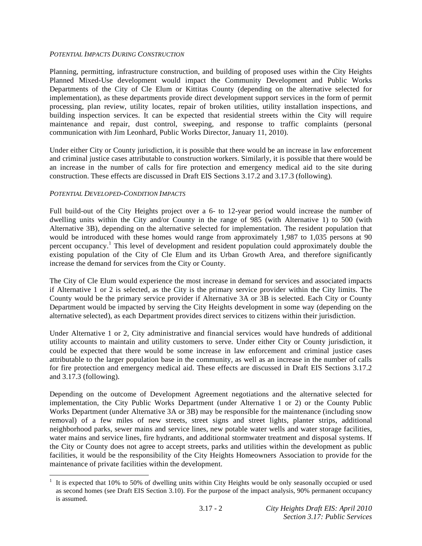### *POTENTIAL IMPACTS DURING CONSTRUCTION*

Planning, permitting, infrastructure construction, and building of proposed uses within the City Heights Planned Mixed-Use development would impact the Community Development and Public Works Departments of the City of Cle Elum or Kittitas County (depending on the alternative selected for implementation), as these departments provide direct development support services in the form of permit processing, plan review, utility locates, repair of broken utilities, utility installation inspections, and building inspection services. It can be expected that residential streets within the City will require maintenance and repair, dust control, sweeping, and response to traffic complaints (personal communication with Jim Leonhard, Public Works Director, January 11, 2010).

Under either City or County jurisdiction, it is possible that there would be an increase in law enforcement and criminal justice cases attributable to construction workers. Similarly, it is possible that there would be an increase in the number of calls for fire protection and emergency medical aid to the site during construction. These effects are discussed in Draft EIS Sections 3.17.2 and 3.17.3 (following).

### *POTENTIAL DEVELOPED-CONDITION IMPACTS*

1

Full build-out of the City Heights project over a 6- to 12-year period would increase the number of dwelling units within the City and/or County in the range of 985 (with Alternative 1) to 500 (with Alternative 3B), depending on the alternative selected for implementation. The resident population that would be introduced with these homes would range from approximately 1,987 to 1,035 persons at 90 percent occupancy.<sup>1</sup> This level of development and resident population could approximately double the existing population of the City of Cle Elum and its Urban Growth Area, and therefore significantly increase the demand for services from the City or County.

The City of Cle Elum would experience the most increase in demand for services and associated impacts if Alternative 1 or 2 is selected, as the City is the primary service provider within the City limits. The County would be the primary service provider if Alternative 3A or 3B is selected. Each City or County Department would be impacted by serving the City Heights development in some way (depending on the alternative selected), as each Department provides direct services to citizens within their jurisdiction.

Under Alternative 1 or 2, City administrative and financial services would have hundreds of additional utility accounts to maintain and utility customers to serve. Under either City or County jurisdiction, it could be expected that there would be some increase in law enforcement and criminal justice cases attributable to the larger population base in the community, as well as an increase in the number of calls for fire protection and emergency medical aid. These effects are discussed in Draft EIS Sections 3.17.2 and 3.17.3 (following).

Depending on the outcome of Development Agreement negotiations and the alternative selected for implementation, the City Public Works Department (under Alternative 1 or 2) or the County Public Works Department (under Alternative 3A or 3B) may be responsible for the maintenance (including snow removal) of a few miles of new streets, street signs and street lights, planter strips, additional neighborhood parks, sewer mains and service lines, new potable water wells and water storage facilities, water mains and service lines, fire hydrants, and additional stormwater treatment and disposal systems. If the City or County does not agree to accept streets, parks and utilities within the development as public facilities, it would be the responsibility of the City Heights Homeowners Association to provide for the maintenance of private facilities within the development.

 $1$  It is expected that 10% to 50% of dwelling units within City Heights would be only seasonally occupied or used as second homes (see Draft EIS Section 3.10). For the purpose of the impact analysis, 90% permanent occupancy is assumed.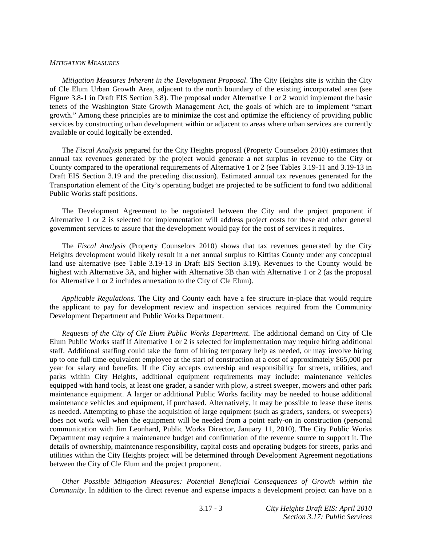#### *MITIGATION MEASURES*

*Mitigation Measures Inherent in the Development Proposal*. The City Heights site is within the City of Cle Elum Urban Growth Area, adjacent to the north boundary of the existing incorporated area (see Figure 3.8-1 in Draft EIS Section 3.8). The proposal under Alternative 1 or 2 would implement the basic tenets of the Washington State Growth Management Act, the goals of which are to implement "smart growth." Among these principles are to minimize the cost and optimize the efficiency of providing public services by constructing urban development within or adjacent to areas where urban services are currently available or could logically be extended.

 The *Fiscal Analysis* prepared for the City Heights proposal (Property Counselors 2010) estimates that annual tax revenues generated by the project would generate a net surplus in revenue to the City or County compared to the operational requirements of Alternative 1 or 2 (see Tables 3.19-11 and 3.19-13 in Draft EIS Section 3.19 and the preceding discussion). Estimated annual tax revenues generated for the Transportation element of the City's operating budget are projected to be sufficient to fund two additional Public Works staff positions.

 The Development Agreement to be negotiated between the City and the project proponent if Alternative 1 or 2 is selected for implementation will address project costs for these and other general government services to assure that the development would pay for the cost of services it requires.

 The *Fiscal Analysis* (Property Counselors 2010) shows that tax revenues generated by the City Heights development would likely result in a net annual surplus to Kittitas County under any conceptual land use alternative (see Table 3.19-13 in Draft EIS Section 3.19). Revenues to the County would be highest with Alternative 3A, and higher with Alternative 3B than with Alternative 1 or 2 (as the proposal for Alternative 1 or 2 includes annexation to the City of Cle Elum).

*Applicable Regulations*. The City and County each have a fee structure in-place that would require the applicant to pay for development review and inspection services required from the Community Development Department and Public Works Department.

*Requests of the City of Cle Elum Public Works Department*. The additional demand on City of Cle Elum Public Works staff if Alternative 1 or 2 is selected for implementation may require hiring additional staff. Additional staffing could take the form of hiring temporary help as needed, or may involve hiring up to one full-time-equivalent employee at the start of construction at a cost of approximately \$65,000 per year for salary and benefits. If the City accepts ownership and responsibility for streets, utilities, and parks within City Heights, additional equipment requirements may include: maintenance vehicles equipped with hand tools, at least one grader, a sander with plow, a street sweeper, mowers and other park maintenance equipment. A larger or additional Public Works facility may be needed to house additional maintenance vehicles and equipment, if purchased. Alternatively, it may be possible to lease these items as needed. Attempting to phase the acquisition of large equipment (such as graders, sanders, or sweepers) does not work well when the equipment will be needed from a point early-on in construction (personal communication with Jim Leonhard, Public Works Director, January 11, 2010). The City Public Works Department may require a maintenance budget and confirmation of the revenue source to support it. The details of ownership, maintenance responsibility, capital costs and operating budgets for streets, parks and utilities within the City Heights project will be determined through Development Agreement negotiations between the City of Cle Elum and the project proponent.

*Other Possible Mitigation Measures: Potential Beneficial Consequences of Growth within the Community*. In addition to the direct revenue and expense impacts a development project can have on a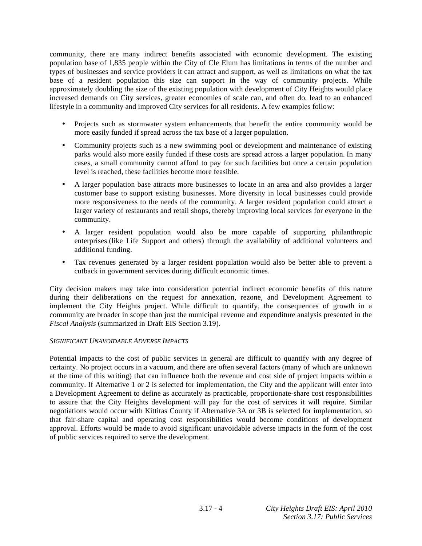community, there are many indirect benefits associated with economic development. The existing population base of 1,835 people within the City of Cle Elum has limitations in terms of the number and types of businesses and service providers it can attract and support, as well as limitations on what the tax base of a resident population this size can support in the way of community projects. While approximately doubling the size of the existing population with development of City Heights would place increased demands on City services, greater economies of scale can, and often do, lead to an enhanced lifestyle in a community and improved City services for all residents. A few examples follow:

- Projects such as stormwater system enhancements that benefit the entire community would be more easily funded if spread across the tax base of a larger population.
- Community projects such as a new swimming pool or development and maintenance of existing parks would also more easily funded if these costs are spread across a larger population. In many cases, a small community cannot afford to pay for such facilities but once a certain population level is reached, these facilities become more feasible.
- A larger population base attracts more businesses to locate in an area and also provides a larger customer base to support existing businesses. More diversity in local businesses could provide more responsiveness to the needs of the community. A larger resident population could attract a larger variety of restaurants and retail shops, thereby improving local services for everyone in the community.
- A larger resident population would also be more capable of supporting philanthropic enterprises (like Life Support and others) through the availability of additional volunteers and additional funding.
- Tax revenues generated by a larger resident population would also be better able to prevent a cutback in government services during difficult economic times.

City decision makers may take into consideration potential indirect economic benefits of this nature during their deliberations on the request for annexation, rezone, and Development Agreement to implement the City Heights project. While difficult to quantify, the consequences of growth in a community are broader in scope than just the municipal revenue and expenditure analysis presented in the *Fiscal Analysis* (summarized in Draft EIS Section 3.19).

### *SIGNIFICANT UNAVOIDABLE ADVERSE IMPACTS*

Potential impacts to the cost of public services in general are difficult to quantify with any degree of certainty. No project occurs in a vacuum, and there are often several factors (many of which are unknown at the time of this writing) that can influence both the revenue and cost side of project impacts within a community. If Alternative 1 or 2 is selected for implementation, the City and the applicant will enter into a Development Agreement to define as accurately as practicable, proportionate-share cost responsibilities to assure that the City Heights development will pay for the cost of services it will require. Similar negotiations would occur with Kittitas County if Alternative 3A or 3B is selected for implementation, so that fair-share capital and operating cost responsibilities would become conditions of development approval. Efforts would be made to avoid significant unavoidable adverse impacts in the form of the cost of public services required to serve the development.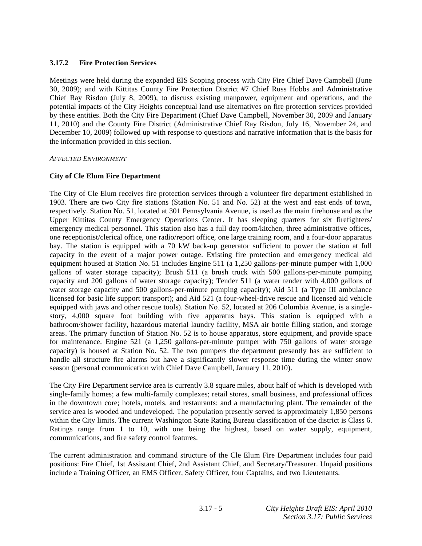# **3.17.2 Fire Protection Services**

Meetings were held during the expanded EIS Scoping process with City Fire Chief Dave Campbell (June 30, 2009); and with Kittitas County Fire Protection District #7 Chief Russ Hobbs and Administrative Chief Ray Risdon (July 8, 2009), to discuss existing manpower, equipment and operations, and the potential impacts of the City Heights conceptual land use alternatives on fire protection services provided by these entities. Both the City Fire Department (Chief Dave Campbell, November 30, 2009 and January 11, 2010) and the County Fire District (Administrative Chief Ray Risdon, July 16, November 24, and December 10, 2009) followed up with response to questions and narrative information that is the basis for the information provided in this section.

### *AFFECTED ENVIRONMENT*

## **City of Cle Elum Fire Department**

The City of Cle Elum receives fire protection services through a volunteer fire department established in 1903. There are two City fire stations (Station No. 51 and No. 52) at the west and east ends of town, respectively. Station No. 51, located at 301 Pennsylvania Avenue, is used as the main firehouse and as the Upper Kittitas County Emergency Operations Center. It has sleeping quarters for six firefighters/ emergency medical personnel. This station also has a full day room/kitchen, three administrative offices, one receptionist/clerical office, one radio/report office, one large training room, and a four-door apparatus bay. The station is equipped with a 70 kW back-up generator sufficient to power the station at full capacity in the event of a major power outage. Existing fire protection and emergency medical aid equipment housed at Station No. 51 includes Engine 511 (a 1,250 gallons-per-minute pumper with 1,000 gallons of water storage capacity); Brush 511 (a brush truck with 500 gallons-per-minute pumping capacity and 200 gallons of water storage capacity); Tender 511 (a water tender with 4,000 gallons of water storage capacity and 500 gallons-per-minute pumping capacity); Aid 511 (a Type III ambulance licensed for basic life support transport); and Aid 521 (a four-wheel-drive rescue and licensed aid vehicle equipped with jaws and other rescue tools). Station No. 52, located at 206 Columbia Avenue, is a singlestory, 4,000 square foot building with five apparatus bays. This station is equipped with a bathroom/shower facility, hazardous material laundry facility, MSA air bottle filling station, and storage areas. The primary function of Station No. 52 is to house apparatus, store equipment, and provide space for maintenance. Engine 521 (a 1,250 gallons-per-minute pumper with 750 gallons of water storage capacity) is housed at Station No. 52. The two pumpers the department presently has are sufficient to handle all structure fire alarms but have a significantly slower response time during the winter snow season (personal communication with Chief Dave Campbell, January 11, 2010).

The City Fire Department service area is currently 3.8 square miles, about half of which is developed with single-family homes; a few multi-family complexes; retail stores, small business, and professional offices in the downtown core; hotels, motels, and restaurants; and a manufacturing plant. The remainder of the service area is wooded and undeveloped. The population presently served is approximately 1,850 persons within the City limits. The current Washington State Rating Bureau classification of the district is Class 6. Ratings range from 1 to 10, with one being the highest, based on water supply, equipment, communications, and fire safety control features.

The current administration and command structure of the Cle Elum Fire Department includes four paid positions: Fire Chief, 1st Assistant Chief, 2nd Assistant Chief, and Secretary/Treasurer. Unpaid positions include a Training Officer, an EMS Officer, Safety Officer, four Captains, and two Lieutenants.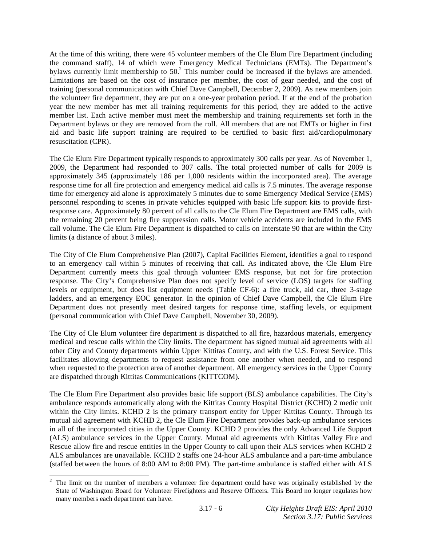At the time of this writing, there were 45 volunteer members of the Cle Elum Fire Department (including the command staff), 14 of which were Emergency Medical Technicians (EMTs). The Department's bylaws currently limit membership to  $50<sup>2</sup>$ . This number could be increased if the bylaws are amended. Limitations are based on the cost of insurance per member, the cost of gear needed, and the cost of training (personal communication with Chief Dave Campbell, December 2, 2009). As new members join the volunteer fire department, they are put on a one-year probation period. If at the end of the probation year the new member has met all training requirements for this period, they are added to the active member list. Each active member must meet the membership and training requirements set forth in the Department bylaws or they are removed from the roll. All members that are not EMTs or higher in first aid and basic life support training are required to be certified to basic first aid/cardiopulmonary resuscitation (CPR).

The Cle Elum Fire Department typically responds to approximately 300 calls per year. As of November 1, 2009, the Department had responded to 307 calls. The total projected number of calls for 2009 is approximately 345 (approximately 186 per 1,000 residents within the incorporated area). The average response time for all fire protection and emergency medical aid calls is 7.5 minutes. The average response time for emergency aid alone is approximately 5 minutes due to some Emergency Medical Service (EMS) personnel responding to scenes in private vehicles equipped with basic life support kits to provide firstresponse care. Approximately 80 percent of all calls to the Cle Elum Fire Department are EMS calls, with the remaining 20 percent being fire suppression calls. Motor vehicle accidents are included in the EMS call volume. The Cle Elum Fire Department is dispatched to calls on Interstate 90 that are within the City limits (a distance of about 3 miles).

The City of Cle Elum Comprehensive Plan (2007), Capital Facilities Element, identifies a goal to respond to an emergency call within 5 minutes of receiving that call. As indicated above, the Cle Elum Fire Department currently meets this goal through volunteer EMS response, but not for fire protection response. The City's Comprehensive Plan does not specify level of service (LOS) targets for staffing levels or equipment, but does list equipment needs (Table CF-6): a fire truck, aid car, three 3-stage ladders, and an emergency EOC generator. In the opinion of Chief Dave Campbell, the Cle Elum Fire Department does not presently meet desired targets for response time, staffing levels, or equipment (personal communication with Chief Dave Campbell, November 30, 2009).

The City of Cle Elum volunteer fire department is dispatched to all fire, hazardous materials, emergency medical and rescue calls within the City limits. The department has signed mutual aid agreements with all other City and County departments within Upper Kittitas County, and with the U.S. Forest Service. This facilitates allowing departments to request assistance from one another when needed, and to respond when requested to the protection area of another department. All emergency services in the Upper County are dispatched through Kittitas Communications (KITTCOM).

The Cle Elum Fire Department also provides basic life support (BLS) ambulance capabilities. The City's ambulance responds automatically along with the Kittitas County Hospital District (KCHD) 2 medic unit within the City limits. KCHD 2 is the primary transport entity for Upper Kittitas County. Through its mutual aid agreement with KCHD 2, the Cle Elum Fire Department provides back-up ambulance services in all of the incorporated cities in the Upper County. KCHD 2 provides the only Advanced Life Support (ALS) ambulance services in the Upper County. Mutual aid agreements with Kittitas Valley Fire and Rescue allow fire and rescue entities in the Upper County to call upon their ALS services when KCHD 2 ALS ambulances are unavailable. KCHD 2 staffs one 24-hour ALS ambulance and a part-time ambulance (staffed between the hours of 8:00 AM to 8:00 PM). The part-time ambulance is staffed either with ALS

l

<sup>2</sup> The limit on the number of members a volunteer fire department could have was originally established by the State of Washington Board for Volunteer Firefighters and Reserve Officers. This Board no longer regulates how many members each department can have.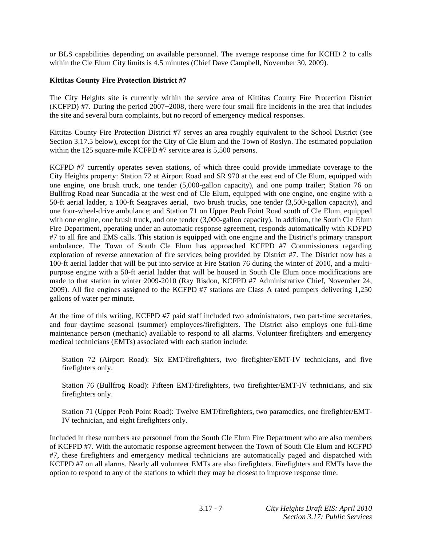or BLS capabilities depending on available personnel. The average response time for KCHD 2 to calls within the Cle Elum City limits is 4.5 minutes (Chief Dave Campbell, November 30, 2009).

## **Kittitas County Fire Protection District #7**

The City Heights site is currently within the service area of Kittitas County Fire Protection District  $(KCFPD)$  #7. During the period 2007-2008, there were four small fire incidents in the area that includes the site and several burn complaints, but no record of emergency medical responses.

Kittitas County Fire Protection District #7 serves an area roughly equivalent to the School District (see Section 3.17.5 below), except for the City of Cle Elum and the Town of Roslyn. The estimated population within the 125 square-mile KCFPD #7 service area is 5,500 persons.

KCFPD #7 currently operates seven stations, of which three could provide immediate coverage to the City Heights property: Station 72 at Airport Road and SR 970 at the east end of Cle Elum, equipped with one engine, one brush truck, one tender (5,000-gallon capacity), and one pump trailer; Station 76 on Bullfrog Road near Suncadia at the west end of Cle Elum, equipped with one engine, one engine with a 50-ft aerial ladder, a 100-ft Seagraves aerial, two brush trucks, one tender (3,500-gallon capacity), and one four-wheel-drive ambulance; and Station 71 on Upper Peoh Point Road south of Cle Elum, equipped with one engine, one brush truck, and one tender (3,000-gallon capacity). In addition, the South Cle Elum Fire Department, operating under an automatic response agreement, responds automatically with KDFPD #7 to all fire and EMS calls. This station is equipped with one engine and the District's primary transport ambulance. The Town of South Cle Elum has approached KCFPD #7 Commissioners regarding exploration of reverse annexation of fire services being provided by District #7. The District now has a 100-ft aerial ladder that will be put into service at Fire Station 76 during the winter of 2010, and a multipurpose engine with a 50-ft aerial ladder that will be housed in South Cle Elum once modifications are made to that station in winter 2009-2010 (Ray Risdon, KCFPD #7 Administrative Chief, November 24, 2009). All fire engines assigned to the KCFPD #7 stations are Class A rated pumpers delivering 1,250 gallons of water per minute.

At the time of this writing, KCFPD #7 paid staff included two administrators, two part-time secretaries, and four daytime seasonal (summer) employees/firefighters. The District also employs one full-time maintenance person (mechanic) available to respond to all alarms. Volunteer firefighters and emergency medical technicians (EMTs) associated with each station include:

Station 72 (Airport Road): Six EMT/firefighters, two firefighter/EMT-IV technicians, and five firefighters only.

Station 76 (Bullfrog Road): Fifteen EMT/firefighters, two firefighter/EMT-IV technicians, and six firefighters only.

Station 71 (Upper Peoh Point Road): Twelve EMT/firefighters, two paramedics, one firefighter/EMT-IV technician, and eight firefighters only.

Included in these numbers are personnel from the South Cle Elum Fire Department who are also members of KCFPD #7. With the automatic response agreement between the Town of South Cle Elum and KCFPD #7, these firefighters and emergency medical technicians are automatically paged and dispatched with KCFPD #7 on all alarms. Nearly all volunteer EMTs are also firefighters. Firefighters and EMTs have the option to respond to any of the stations to which they may be closest to improve response time.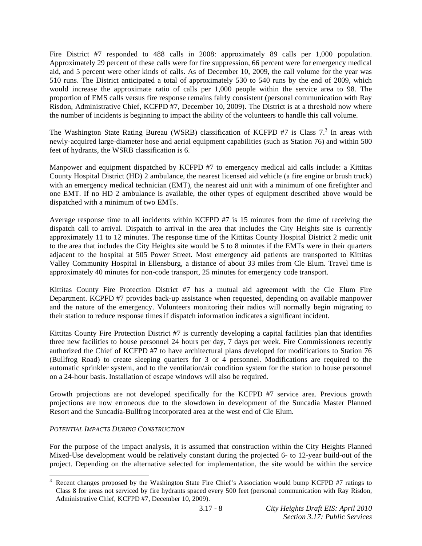Fire District #7 responded to 488 calls in 2008: approximately 89 calls per 1,000 population. Approximately 29 percent of these calls were for fire suppression, 66 percent were for emergency medical aid, and 5 percent were other kinds of calls. As of December 10, 2009, the call volume for the year was 510 runs. The District anticipated a total of approximately 530 to 540 runs by the end of 2009, which would increase the approximate ratio of calls per 1,000 people within the service area to 98. The proportion of EMS calls versus fire response remains fairly consistent (personal communication with Ray Risdon, Administrative Chief, KCFPD #7, December 10, 2009). The District is at a threshold now where the number of incidents is beginning to impact the ability of the volunteers to handle this call volume.

The Washington State Rating Bureau (WSRB) classification of KCFPD #7 is Class  $7<sup>3</sup>$  In areas with newly-acquired large-diameter hose and aerial equipment capabilities (such as Station 76) and within 500 feet of hydrants, the WSRB classification is 6.

Manpower and equipment dispatched by KCFPD #7 to emergency medical aid calls include: a Kittitas County Hospital District (HD) 2 ambulance, the nearest licensed aid vehicle (a fire engine or brush truck) with an emergency medical technician (EMT), the nearest aid unit with a minimum of one firefighter and one EMT. If no HD 2 ambulance is available, the other types of equipment described above would be dispatched with a minimum of two EMTs.

Average response time to all incidents within KCFPD #7 is 15 minutes from the time of receiving the dispatch call to arrival. Dispatch to arrival in the area that includes the City Heights site is currently approximately 11 to 12 minutes. The response time of the Kittitas County Hospital District 2 medic unit to the area that includes the City Heights site would be 5 to 8 minutes if the EMTs were in their quarters adjacent to the hospital at 505 Power Street. Most emergency aid patients are transported to Kittitas Valley Community Hospital in Ellensburg, a distance of about 33 miles from Cle Elum. Travel time is approximately 40 minutes for non-code transport, 25 minutes for emergency code transport.

Kittitas County Fire Protection District #7 has a mutual aid agreement with the Cle Elum Fire Department. KCPFD #7 provides back-up assistance when requested, depending on available manpower and the nature of the emergency. Volunteers monitoring their radios will normally begin migrating to their station to reduce response times if dispatch information indicates a significant incident.

Kittitas County Fire Protection District #7 is currently developing a capital facilities plan that identifies three new facilities to house personnel 24 hours per day, 7 days per week. Fire Commissioners recently authorized the Chief of KCFPD #7 to have architectural plans developed for modifications to Station 76 (Bullfrog Road) to create sleeping quarters for 3 or 4 personnel. Modifications are required to the automatic sprinkler system, and to the ventilation/air condition system for the station to house personnel on a 24-hour basis. Installation of escape windows will also be required.

Growth projections are not developed specifically for the KCFPD #7 service area. Previous growth projections are now erroneous due to the slowdown in development of the Suncadia Master Planned Resort and the Suncadia-Bullfrog incorporated area at the west end of Cle Elum.

# *POTENTIAL IMPACTS DURING CONSTRUCTION*

l

For the purpose of the impact analysis, it is assumed that construction within the City Heights Planned Mixed-Use development would be relatively constant during the projected 6- to 12-year build-out of the project. Depending on the alternative selected for implementation, the site would be within the service

<sup>3</sup> Recent changes proposed by the Washington State Fire Chief's Association would bump KCFPD #7 ratings to Class 8 for areas not serviced by fire hydrants spaced every 500 feet (personal communication with Ray Risdon, Administrative Chief, KCFPD #7, December 10, 2009).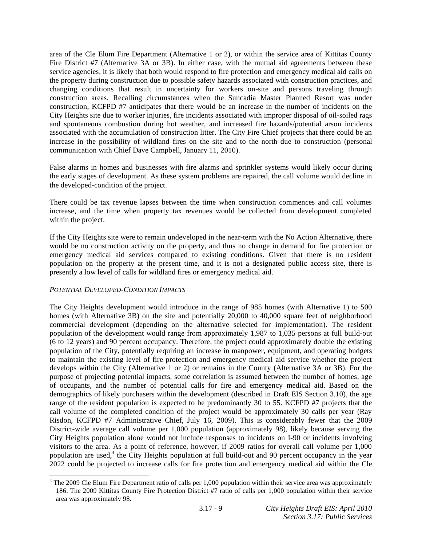area of the Cle Elum Fire Department (Alternative 1 or 2), or within the service area of Kittitas County Fire District #7 (Alternative 3A or 3B). In either case, with the mutual aid agreements between these service agencies, it is likely that both would respond to fire protection and emergency medical aid calls on the property during construction due to possible safety hazards associated with construction practices, and changing conditions that result in uncertainty for workers on-site and persons traveling through construction areas. Recalling circumstances when the Suncadia Master Planned Resort was under construction, KCFPD #7 anticipates that there would be an increase in the number of incidents on the City Heights site due to worker injuries, fire incidents associated with improper disposal of oil-soiled rags and spontaneous combustion during hot weather, and increased fire hazards/potential arson incidents associated with the accumulation of construction litter. The City Fire Chief projects that there could be an increase in the possibility of wildland fires on the site and to the north due to construction (personal communication with Chief Dave Campbell, January 11, 2010).

False alarms in homes and businesses with fire alarms and sprinkler systems would likely occur during the early stages of development. As these system problems are repaired, the call volume would decline in the developed-condition of the project.

There could be tax revenue lapses between the time when construction commences and call volumes increase, and the time when property tax revenues would be collected from development completed within the project.

If the City Heights site were to remain undeveloped in the near-term with the No Action Alternative, there would be no construction activity on the property, and thus no change in demand for fire protection or emergency medical aid services compared to existing conditions. Given that there is no resident population on the property at the present time, and it is not a designated public access site, there is presently a low level of calls for wildland fires or emergency medical aid.

### *POTENTIAL DEVELOPED-CONDITION IMPACTS*

l

The City Heights development would introduce in the range of 985 homes (with Alternative 1) to 500 homes (with Alternative 3B) on the site and potentially 20,000 to 40,000 square feet of neighborhood commercial development (depending on the alternative selected for implementation). The resident population of the development would range from approximately 1,987 to 1,035 persons at full build-out (6 to 12 years) and 90 percent occupancy. Therefore, the project could approximately double the existing population of the City, potentially requiring an increase in manpower, equipment, and operating budgets to maintain the existing level of fire protection and emergency medical aid service whether the project develops within the City (Alternative 1 or 2) or remains in the County (Alternative 3A or 3B). For the purpose of projecting potential impacts, some correlation is assumed between the number of homes, age of occupants, and the number of potential calls for fire and emergency medical aid. Based on the demographics of likely purchasers within the development (described in Draft EIS Section 3.10), the age range of the resident population is expected to be predominantly 30 to 55. KCFPD #7 projects that the call volume of the completed condition of the project would be approximately 30 calls per year (Ray Risdon, KCFPD #7 Administrative Chief, July 16, 2009). This is considerably fewer that the 2009 District-wide average call volume per 1,000 population (approximately 98), likely because serving the City Heights population alone would not include responses to incidents on I-90 or incidents involving visitors to the area. As a point of reference, however, if 2009 ratios for overall call volume per 1,000 population are used,<sup>4</sup> the City Heights population at full build-out and 90 percent occupancy in the year 2022 could be projected to increase calls for fire protection and emergency medical aid within the Cle

<sup>&</sup>lt;sup>4</sup> The 2009 Cle Elum Fire Department ratio of calls per 1,000 population within their service area was approximately 186. The 2009 Kittitas County Fire Protection District #7 ratio of calls per 1,000 population within their service area was approximately 98.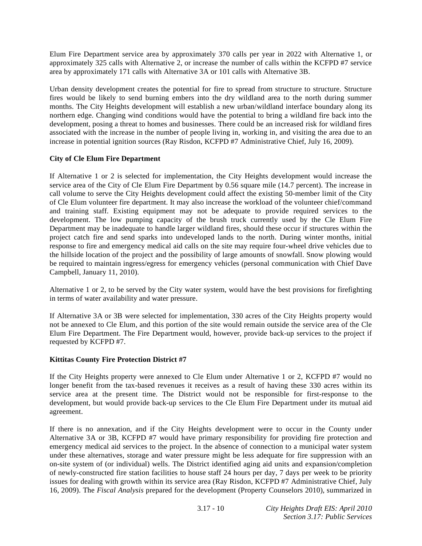Elum Fire Department service area by approximately 370 calls per year in 2022 with Alternative 1, or approximately 325 calls with Alternative 2, or increase the number of calls within the KCFPD #7 service area by approximately 171 calls with Alternative 3A or 101 calls with Alternative 3B.

Urban density development creates the potential for fire to spread from structure to structure. Structure fires would be likely to send burning embers into the dry wildland area to the north during summer months. The City Heights development will establish a new urban/wildland interface boundary along its northern edge. Changing wind conditions would have the potential to bring a wildland fire back into the development, posing a threat to homes and businesses. There could be an increased risk for wildland fires associated with the increase in the number of people living in, working in, and visiting the area due to an increase in potential ignition sources (Ray Risdon, KCFPD #7 Administrative Chief, July 16, 2009).

# **City of Cle Elum Fire Department**

If Alternative 1 or 2 is selected for implementation, the City Heights development would increase the service area of the City of Cle Elum Fire Department by 0.56 square mile (14.7 percent). The increase in call volume to serve the City Heights development could affect the existing 50-member limit of the City of Cle Elum volunteer fire department. It may also increase the workload of the volunteer chief/command and training staff. Existing equipment may not be adequate to provide required services to the development. The low pumping capacity of the brush truck currently used by the Cle Elum Fire Department may be inadequate to handle larger wildland fires, should these occur if structures within the project catch fire and send sparks into undeveloped lands to the north. During winter months, initial response to fire and emergency medical aid calls on the site may require four-wheel drive vehicles due to the hillside location of the project and the possibility of large amounts of snowfall. Snow plowing would be required to maintain ingress/egress for emergency vehicles (personal communication with Chief Dave Campbell, January 11, 2010).

Alternative 1 or 2, to be served by the City water system, would have the best provisions for firefighting in terms of water availability and water pressure.

If Alternative 3A or 3B were selected for implementation, 330 acres of the City Heights property would not be annexed to Cle Elum, and this portion of the site would remain outside the service area of the Cle Elum Fire Department. The Fire Department would, however, provide back-up services to the project if requested by KCFPD #7.

### **Kittitas County Fire Protection District #7**

If the City Heights property were annexed to Cle Elum under Alternative 1 or 2, KCFPD #7 would no longer benefit from the tax-based revenues it receives as a result of having these 330 acres within its service area at the present time. The District would not be responsible for first-response to the development, but would provide back-up services to the Cle Elum Fire Department under its mutual aid agreement.

If there is no annexation, and if the City Heights development were to occur in the County under Alternative 3A or 3B, KCFPD #7 would have primary responsibility for providing fire protection and emergency medical aid services to the project. In the absence of connection to a municipal water system under these alternatives, storage and water pressure might be less adequate for fire suppression with an on-site system of (or individual) wells. The District identified aging aid units and expansion/completion of newly-constructed fire station facilities to house staff 24 hours per day, 7 days per week to be priority issues for dealing with growth within its service area (Ray Risdon, KCFPD #7 Administrative Chief, July 16, 2009). The *Fiscal Analysis* prepared for the development (Property Counselors 2010), summarized in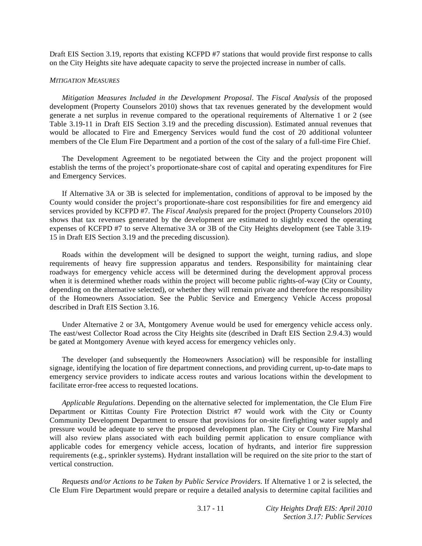Draft EIS Section 3.19, reports that existing KCFPD #7 stations that would provide first response to calls on the City Heights site have adequate capacity to serve the projected increase in number of calls.

#### *MITIGATION MEASURES*

*Mitigation Measures Included in the Development Proposal*. The *Fiscal Analysis* of the proposed development (Property Counselors 2010) shows that tax revenues generated by the development would generate a net surplus in revenue compared to the operational requirements of Alternative 1 or 2 (see Table 3.19-11 in Draft EIS Section 3.19 and the preceding discussion). Estimated annual revenues that would be allocated to Fire and Emergency Services would fund the cost of 20 additional volunteer members of the Cle Elum Fire Department and a portion of the cost of the salary of a full-time Fire Chief.

 The Development Agreement to be negotiated between the City and the project proponent will establish the terms of the project's proportionate-share cost of capital and operating expenditures for Fire and Emergency Services.

 If Alternative 3A or 3B is selected for implementation, conditions of approval to be imposed by the County would consider the project's proportionate-share cost responsibilities for fire and emergency aid services provided by KCFPD #7. The *Fiscal Analysis* prepared for the project (Property Counselors 2010) shows that tax revenues generated by the development are estimated to slightly exceed the operating expenses of KCFPD #7 to serve Alternative 3A or 3B of the City Heights development (see Table 3.19- 15 in Draft EIS Section 3.19 and the preceding discussion).

 Roads within the development will be designed to support the weight, turning radius, and slope requirements of heavy fire suppression apparatus and tenders. Responsibility for maintaining clear roadways for emergency vehicle access will be determined during the development approval process when it is determined whether roads within the project will become public rights-of-way (City or County, depending on the alternative selected), or whether they will remain private and therefore the responsibility of the Homeowners Association. See the Public Service and Emergency Vehicle Access proposal described in Draft EIS Section 3.16.

 Under Alternative 2 or 3A, Montgomery Avenue would be used for emergency vehicle access only. The east/west Collector Road across the City Heights site (described in Draft EIS Section 2.9.4.3) would be gated at Montgomery Avenue with keyed access for emergency vehicles only.

 The developer (and subsequently the Homeowners Association) will be responsible for installing signage, identifying the location of fire department connections, and providing current, up-to-date maps to emergency service providers to indicate access routes and various locations within the development to facilitate error-free access to requested locations.

*Applicable Regulations*. Depending on the alternative selected for implementation, the Cle Elum Fire Department or Kittitas County Fire Protection District #7 would work with the City or County Community Development Department to ensure that provisions for on-site firefighting water supply and pressure would be adequate to serve the proposed development plan. The City or County Fire Marshal will also review plans associated with each building permit application to ensure compliance with applicable codes for emergency vehicle access, location of hydrants, and interior fire suppression requirements (e.g., sprinkler systems). Hydrant installation will be required on the site prior to the start of vertical construction.

*Requests and/or Actions to be Taken by Public Service Providers*. If Alternative 1 or 2 is selected, the Cle Elum Fire Department would prepare or require a detailed analysis to determine capital facilities and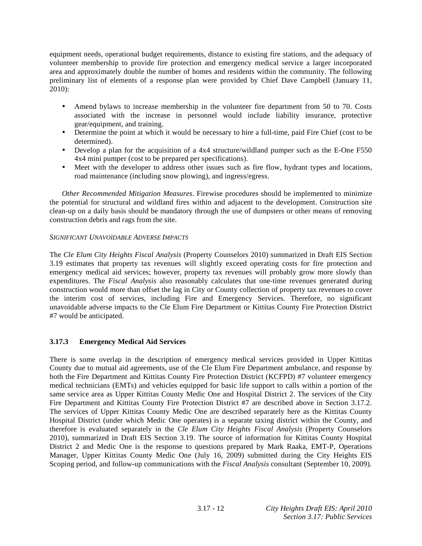equipment needs, operational budget requirements, distance to existing fire stations, and the adequacy of volunteer membership to provide fire protection and emergency medical service a larger incorporated area and approximately double the number of homes and residents within the community. The following preliminary list of elements of a response plan were provided by Chief Dave Campbell (January 11, 2010):

- Amend bylaws to increase membership in the volunteer fire department from 50 to 70. Costs associated with the increase in personnel would include liability insurance, protective gear/equipment, and training.
- Determine the point at which it would be necessary to hire a full-time, paid Fire Chief (cost to be determined).
- Develop a plan for the acquisition of a 4x4 structure/wildland pumper such as the E-One F550 4x4 mini pumper (cost to be prepared per specifications).
- Meet with the developer to address other issues such as fire flow, hydrant types and locations, road maintenance (including snow plowing), and ingress/egress.

*Other Recommended Mitigation Measures*. Firewise procedures should be implemented to minimize the potential for structural and wildland fires within and adjacent to the development. Construction site clean-up on a daily basis should be mandatory through the use of dumpsters or other means of removing construction debris and rags from the site.

## *SIGNIFICANT UNAVOIDABLE ADVERSE IMPACTS*

The *Cle Elum City Heights Fiscal Analysis* (Property Counselors 2010) summarized in Draft EIS Section 3.19 estimates that property tax revenues will slightly exceed operating costs for fire protection and emergency medical aid services; however, property tax revenues will probably grow more slowly than expenditures. The *Fiscal Analysis* also reasonably calculates that one-time revenues generated during construction would more than offset the lag in City or County collection of property tax revenues to cover the interim cost of services, including Fire and Emergency Services. Therefore, no significant unavoidable adverse impacts to the Cle Elum Fire Department or Kittitas County Fire Protection District #7 would be anticipated.

# **3.17.3 Emergency Medical Aid Services**

There is some overlap in the description of emergency medical services provided in Upper Kittitas County due to mutual aid agreements, use of the Cle Elum Fire Department ambulance, and response by both the Fire Department and Kittitas County Fire Protection District (KCFPD) #7 volunteer emergency medical technicians (EMTs) and vehicles equipped for basic life support to calls within a portion of the same service area as Upper Kittitas County Medic One and Hospital District 2. The services of the City Fire Department and Kittitas County Fire Protection District #7 are described above in Section 3.17.2. The services of Upper Kittitas County Medic One are described separately here as the Kittitas County Hospital District (under which Medic One operates) is a separate taxing district within the County, and therefore is evaluated separately in the *Cle Elum City Heights Fiscal Analysis* (Property Counselors 2010), summarized in Draft EIS Section 3.19. The source of information for Kittitas County Hospital District 2 and Medic One is the response to questions prepared by Mark Raaka, EMT-P, Operations Manager, Upper Kittitas County Medic One (July 16, 2009) submitted during the City Heights EIS Scoping period, and follow-up communications with the *Fiscal Analysis* consultant (September 10, 2009).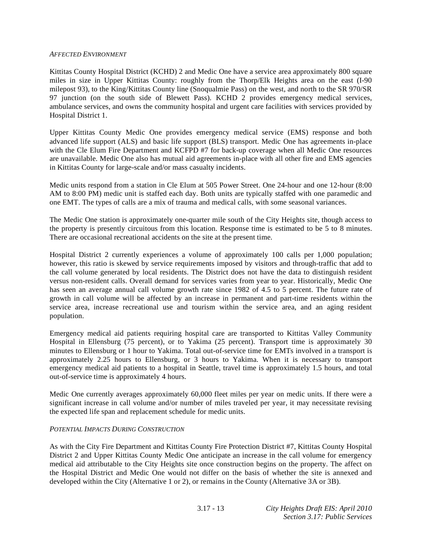#### *AFFECTED ENVIRONMENT*

Kittitas County Hospital District (KCHD) 2 and Medic One have a service area approximately 800 square miles in size in Upper Kittitas County: roughly from the Thorp/Elk Heights area on the east (I-90 milepost 93), to the King/Kittitas County line (Snoqualmie Pass) on the west, and north to the SR 970/SR 97 junction (on the south side of Blewett Pass). KCHD 2 provides emergency medical services, ambulance services, and owns the community hospital and urgent care facilities with services provided by Hospital District 1.

Upper Kittitas County Medic One provides emergency medical service (EMS) response and both advanced life support (ALS) and basic life support (BLS) transport. Medic One has agreements in-place with the Cle Elum Fire Department and KCFPD #7 for back-up coverage when all Medic One resources are unavailable. Medic One also has mutual aid agreements in-place with all other fire and EMS agencies in Kittitas County for large-scale and/or mass casualty incidents.

Medic units respond from a station in Cle Elum at 505 Power Street. One 24-hour and one 12-hour (8:00 AM to 8:00 PM) medic unit is staffed each day. Both units are typically staffed with one paramedic and one EMT. The types of calls are a mix of trauma and medical calls, with some seasonal variances.

The Medic One station is approximately one-quarter mile south of the City Heights site, though access to the property is presently circuitous from this location. Response time is estimated to be 5 to 8 minutes. There are occasional recreational accidents on the site at the present time.

Hospital District 2 currently experiences a volume of approximately 100 calls per 1,000 population; however, this ratio is skewed by service requirements imposed by visitors and through-traffic that add to the call volume generated by local residents. The District does not have the data to distinguish resident versus non-resident calls. Overall demand for services varies from year to year. Historically, Medic One has seen an average annual call volume growth rate since 1982 of 4.5 to 5 percent. The future rate of growth in call volume will be affected by an increase in permanent and part-time residents within the service area, increase recreational use and tourism within the service area, and an aging resident population.

Emergency medical aid patients requiring hospital care are transported to Kittitas Valley Community Hospital in Ellensburg (75 percent), or to Yakima (25 percent). Transport time is approximately 30 minutes to Ellensburg or 1 hour to Yakima. Total out-of-service time for EMTs involved in a transport is approximately 2.25 hours to Ellensburg, or 3 hours to Yakima. When it is necessary to transport emergency medical aid patients to a hospital in Seattle, travel time is approximately 1.5 hours, and total out-of-service time is approximately 4 hours.

Medic One currently averages approximately 60,000 fleet miles per year on medic units. If there were a significant increase in call volume and/or number of miles traveled per year, it may necessitate revising the expected life span and replacement schedule for medic units.

### *POTENTIAL IMPACTS DURING CONSTRUCTION*

As with the City Fire Department and Kittitas County Fire Protection District #7, Kittitas County Hospital District 2 and Upper Kittitas County Medic One anticipate an increase in the call volume for emergency medical aid attributable to the City Heights site once construction begins on the property. The affect on the Hospital District and Medic One would not differ on the basis of whether the site is annexed and developed within the City (Alternative 1 or 2), or remains in the County (Alternative 3A or 3B).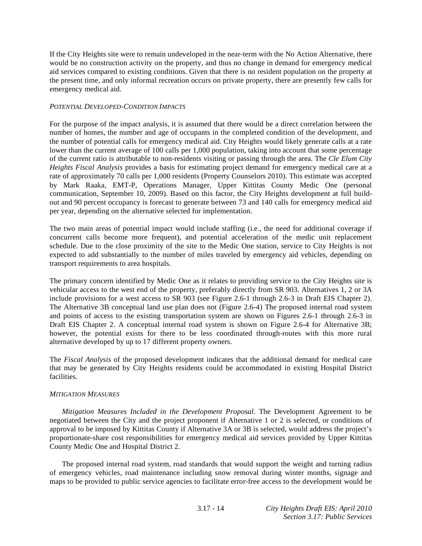If the City Heights site were to remain undeveloped in the near-term with the No Action Alternative, there would be no construction activity on the property, and thus no change in demand for emergency medical aid services compared to existing conditions. Given that there is no resident population on the property at the present time, and only informal recreation occurs on private property, there are presently few calls for emergency medical aid.

## *POTENTIAL DEVELOPED-CONDITION IMPACTS*

For the purpose of the impact analysis, it is assumed that there would be a direct correlation between the number of homes, the number and age of occupants in the completed condition of the development, and the number of potential calls for emergency medical aid. City Heights would likely generate calls at a rate lower than the current average of 100 calls per 1,000 population, taking into account that some percentage of the current ratio is attributable to non-residents visiting or passing through the area. The *Cle Elum City Heights Fiscal Analysis* provides a basis for estimating project demand for emergency medical care at a rate of approximately 70 calls per 1,000 residents (Property Counselors 2010). This estimate was accepted by Mark Raaka, EMT-P, Operations Manager, Upper Kittitas County Medic One (personal communication, September 10, 2009). Based on this factor, the City Heights development at full buildout and 90 percent occupancy is forecast to generate between 73 and 140 calls for emergency medical aid per year, depending on the alternative selected for implementation.

The two main areas of potential impact would include staffing (i.e., the need for additional coverage if concurrent calls become more frequent), and potential acceleration of the medic unit replacement schedule. Due to the close proximity of the site to the Medic One station, service to City Heights is not expected to add substantially to the number of miles traveled by emergency aid vehicles, depending on transport requirements to area hospitals.

The primary concern identified by Medic One as it relates to providing service to the City Heights site is vehicular access to the west end of the property, preferably directly from SR 903. Alternatives 1, 2 or 3A include provisions for a west access to SR 903 (see Figure 2.6-1 through 2.6-3 in Draft EIS Chapter 2). The Alternative 3B conceptual land use plan does not (Figure 2.6-4) The proposed internal road system and points of access to the existing transportation system are shown on Figures 2.6-1 through 2.6-3 in Draft EIS Chapter 2. A conceptual internal road system is shown on Figure 2.6-4 for Alternative 3B; however, the potential exists for there to be less coordinated through-routes with this more rural alternative developed by up to 17 different property owners.

The *Fiscal Analysis* of the proposed development indicates that the additional demand for medical care that may be generated by City Heights residents could be accommodated in existing Hospital District facilities.

### *MITIGATION MEASURES*

*Mitigation Measures Included in the Development Proposal*. The Development Agreement to be negotiated between the City and the project proponent if Alternative 1 or 2 is selected, or conditions of approval to be imposed by Kittitas County if Alternative 3A or 3B is selected, would address the project's proportionate-share cost responsibilities for emergency medical aid services provided by Upper Kittitas County Medic One and Hospital District 2.

 The proposed internal road system, road standards that would support the weight and turning radius of emergency vehicles, road maintenance including snow removal during winter months, signage and maps to be provided to public service agencies to facilitate error-free access to the development would be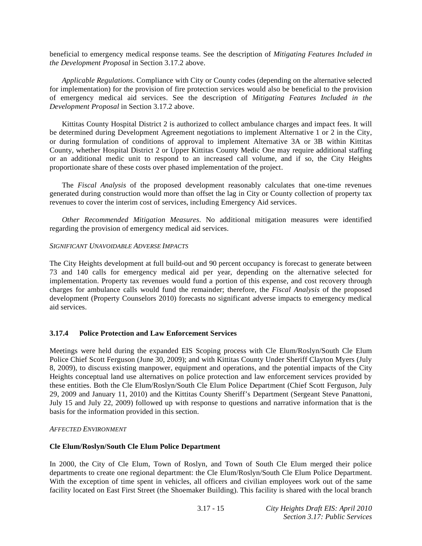beneficial to emergency medical response teams. See the description of *Mitigating Features Included in the Development Proposal* in Section 3.17.2 above.

*Applicable Regulations*. Compliance with City or County codes (depending on the alternative selected for implementation) for the provision of fire protection services would also be beneficial to the provision of emergency medical aid services. See the description of *Mitigating Features Included in the Development Proposal* in Section 3.17.2 above.

 Kittitas County Hospital District 2 is authorized to collect ambulance charges and impact fees. It will be determined during Development Agreement negotiations to implement Alternative 1 or 2 in the City, or during formulation of conditions of approval to implement Alternative 3A or 3B within Kittitas County, whether Hospital District 2 or Upper Kittitas County Medic One may require additional staffing or an additional medic unit to respond to an increased call volume, and if so, the City Heights proportionate share of these costs over phased implementation of the project.

 The *Fiscal Analysis* of the proposed development reasonably calculates that one-time revenues generated during construction would more than offset the lag in City or County collection of property tax revenues to cover the interim cost of services, including Emergency Aid services.

*Other Recommended Mitigation Measures*. No additional mitigation measures were identified regarding the provision of emergency medical aid services.

### *SIGNIFICANT UNAVOIDABLE ADVERSE IMPACTS*

The City Heights development at full build-out and 90 percent occupancy is forecast to generate between 73 and 140 calls for emergency medical aid per year, depending on the alternative selected for implementation. Property tax revenues would fund a portion of this expense, and cost recovery through charges for ambulance calls would fund the remainder; therefore, the *Fiscal Analysis* of the proposed development (Property Counselors 2010) forecasts no significant adverse impacts to emergency medical aid services.

### **3.17.4 Police Protection and Law Enforcement Services**

Meetings were held during the expanded EIS Scoping process with Cle Elum/Roslyn/South Cle Elum Police Chief Scott Ferguson (June 30, 2009); and with Kittitas County Under Sheriff Clayton Myers (July 8, 2009), to discuss existing manpower, equipment and operations, and the potential impacts of the City Heights conceptual land use alternatives on police protection and law enforcement services provided by these entities. Both the Cle Elum/Roslyn/South Cle Elum Police Department (Chief Scott Ferguson, July 29, 2009 and January 11, 2010) and the Kittitas County Sheriff's Department (Sergeant Steve Panattoni, July 15 and July 22, 2009) followed up with response to questions and narrative information that is the basis for the information provided in this section.

#### *AFFECTED ENVIRONMENT*

### **Cle Elum/Roslyn/South Cle Elum Police Department**

In 2000, the City of Cle Elum, Town of Roslyn, and Town of South Cle Elum merged their police departments to create one regional department: the Cle Elum/Roslyn/South Cle Elum Police Department. With the exception of time spent in vehicles, all officers and civilian employees work out of the same facility located on East First Street (the Shoemaker Building). This facility is shared with the local branch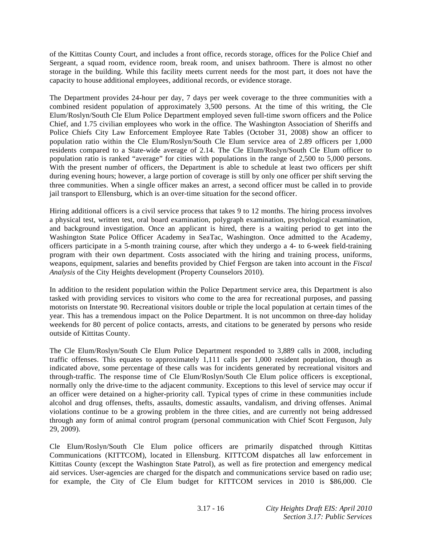of the Kittitas County Court, and includes a front office, records storage, offices for the Police Chief and Sergeant, a squad room, evidence room, break room, and unisex bathroom. There is almost no other storage in the building. While this facility meets current needs for the most part, it does not have the capacity to house additional employees, additional records, or evidence storage.

The Department provides 24-hour per day, 7 days per week coverage to the three communities with a combined resident population of approximately 3,500 persons. At the time of this writing, the Cle Elum/Roslyn/South Cle Elum Police Department employed seven full-time sworn officers and the Police Chief, and 1.75 civilian employees who work in the office. The Washington Association of Sheriffs and Police Chiefs City Law Enforcement Employee Rate Tables (October 31, 2008) show an officer to population ratio within the Cle Elum/Roslyn/South Cle Elum service area of 2.89 officers per 1,000 residents compared to a State-wide average of 2.14. The Cle Elum/Roslyn/South Cle Elum officer to population ratio is ranked "average" for cities with populations in the range of 2,500 to 5,000 persons. With the present number of officers, the Department is able to schedule at least two officers per shift during evening hours; however, a large portion of coverage is still by only one officer per shift serving the three communities. When a single officer makes an arrest, a second officer must be called in to provide jail transport to Ellensburg, which is an over-time situation for the second officer.

Hiring additional officers is a civil service process that takes 9 to 12 months. The hiring process involves a physical test, written test, oral board examination, polygraph examination, psychological examination, and background investigation. Once an applicant is hired, there is a waiting period to get into the Washington State Police Officer Academy in SeaTac, Washington. Once admitted to the Academy, officers participate in a 5-month training course, after which they undergo a 4- to 6-week field-training program with their own department. Costs associated with the hiring and training process, uniforms, weapons, equipment, salaries and benefits provided by Chief Fergson are taken into account in the *Fiscal Analysis* of the City Heights development (Property Counselors 2010).

In addition to the resident population within the Police Department service area, this Department is also tasked with providing services to visitors who come to the area for recreational purposes, and passing motorists on Interstate 90. Recreational visitors double or triple the local population at certain times of the year. This has a tremendous impact on the Police Department. It is not uncommon on three-day holiday weekends for 80 percent of police contacts, arrests, and citations to be generated by persons who reside outside of Kittitas County.

The Cle Elum/Roslyn/South Cle Elum Police Department responded to 3,889 calls in 2008, including traffic offenses. This equates to approximately 1,111 calls per 1,000 resident population, though as indicated above, some percentage of these calls was for incidents generated by recreational visitors and through-traffic. The response time of Cle Elum/Roslyn/South Cle Elum police officers is exceptional, normally only the drive-time to the adjacent community. Exceptions to this level of service may occur if an officer were detained on a higher-priority call. Typical types of crime in these communities include alcohol and drug offenses, thefts, assaults, domestic assaults, vandalism, and driving offenses. Animal violations continue to be a growing problem in the three cities, and are currently not being addressed through any form of animal control program (personal communication with Chief Scott Ferguson, July 29, 2009).

Cle Elum/Roslyn/South Cle Elum police officers are primarily dispatched through Kittitas Communications (KITTCOM), located in Ellensburg. KITTCOM dispatches all law enforcement in Kittitas County (except the Washington State Patrol), as well as fire protection and emergency medical aid services. User-agencies are charged for the dispatch and communications service based on radio use; for example, the City of Cle Elum budget for KITTCOM services in 2010 is \$86,000. Cle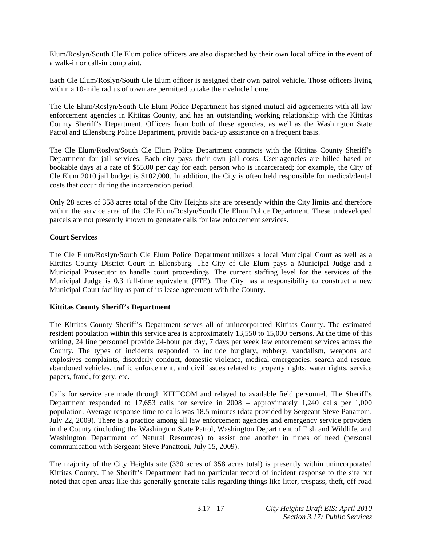Elum/Roslyn/South Cle Elum police officers are also dispatched by their own local office in the event of a walk-in or call-in complaint.

Each Cle Elum/Roslyn/South Cle Elum officer is assigned their own patrol vehicle. Those officers living within a 10-mile radius of town are permitted to take their vehicle home.

The Cle Elum/Roslyn/South Cle Elum Police Department has signed mutual aid agreements with all law enforcement agencies in Kittitas County, and has an outstanding working relationship with the Kittitas County Sheriff's Department. Officers from both of these agencies, as well as the Washington State Patrol and Ellensburg Police Department, provide back-up assistance on a frequent basis.

The Cle Elum/Roslyn/South Cle Elum Police Department contracts with the Kittitas County Sheriff's Department for jail services. Each city pays their own jail costs. User-agencies are billed based on bookable days at a rate of \$55.00 per day for each person who is incarcerated; for example, the City of Cle Elum 2010 jail budget is \$102,000. In addition, the City is often held responsible for medical/dental costs that occur during the incarceration period.

Only 28 acres of 358 acres total of the City Heights site are presently within the City limits and therefore within the service area of the Cle Elum/Roslyn/South Cle Elum Police Department. These undeveloped parcels are not presently known to generate calls for law enforcement services.

## **Court Services**

The Cle Elum/Roslyn/South Cle Elum Police Department utilizes a local Municipal Court as well as a Kittitas County District Court in Ellensburg. The City of Cle Elum pays a Municipal Judge and a Municipal Prosecutor to handle court proceedings. The current staffing level for the services of the Municipal Judge is 0.3 full-time equivalent (FTE). The City has a responsibility to construct a new Municipal Court facility as part of its lease agreement with the County.

## **Kittitas County Sheriff's Department**

The Kittitas County Sheriff's Department serves all of unincorporated Kittitas County. The estimated resident population within this service area is approximately 13,550 to 15,000 persons. At the time of this writing, 24 line personnel provide 24-hour per day, 7 days per week law enforcement services across the County. The types of incidents responded to include burglary, robbery, vandalism, weapons and explosives complaints, disorderly conduct, domestic violence, medical emergencies, search and rescue, abandoned vehicles, traffic enforcement, and civil issues related to property rights, water rights, service papers, fraud, forgery, etc.

Calls for service are made through KITTCOM and relayed to available field personnel. The Sheriff's Department responded to 17,653 calls for service in 2008 – approximately 1,240 calls per 1,000 population. Average response time to calls was 18.5 minutes (data provided by Sergeant Steve Panattoni, July 22, 2009). There is a practice among all law enforcement agencies and emergency service providers in the County (including the Washington State Patrol, Washington Department of Fish and Wildlife, and Washington Department of Natural Resources) to assist one another in times of need (personal communication with Sergeant Steve Panattoni, July 15, 2009).

The majority of the City Heights site (330 acres of 358 acres total) is presently within unincorporated Kittitas County. The Sheriff's Department had no particular record of incident response to the site but noted that open areas like this generally generate calls regarding things like litter, trespass, theft, off-road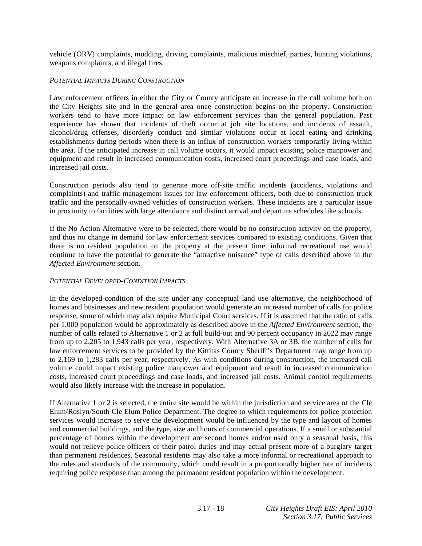vehicle (ORV) complaints, mudding, driving complaints, malicious mischief, parties, hunting violations, weapons complaints, and illegal fires.

### *POTENTIAL IMPACTS DURING CONSTRUCTION*

Law enforcement officers in either the City or County anticipate an increase in the call volume both on the City Heights site and in the general area once construction begins on the property. Construction workers tend to have more impact on law enforcement services than the general population. Past experience has shown that incidents of theft occur at job site locations, and incidents of assault, alcohol/drug offenses, disorderly conduct and similar violations occur at local eating and drinking establishments during periods when there is an influx of construction workers temporarily living within the area. If the anticipated increase in call volume occurs, it would impact existing police manpower and equipment and result in increased communication costs, increased court proceedings and case loads, and increased jail costs.

Construction periods also tend to generate more off-site traffic incidents (accidents, violations and complaints) and traffic management issues for law enforcement officers, both due to construction truck traffic and the personally-owned vehicles of construction workers. These incidents are a particular issue in proximity to facilities with large attendance and distinct arrival and departure schedules like schools.

If the No Action Alternative were to be selected, there would be no construction activity on the property, and thus no change in demand for law enforcement services compared to existing conditions. Given that there is no resident population on the property at the present time, informal recreational use would continue to have the potential to generate the "attractive nuisance" type of calls described above in the *Affected Environment* section.

### *POTENTIAL DEVELOPED-CONDITION IMPACTS*

In the developed-condition of the site under any conceptual land use alternative, the neighborhood of homes and businesses and new resident population would generate an increased number of calls for police response, some of which may also require Municipal Court services. If it is assumed that the ratio of calls per 1,000 population would be approximately as described above in the *Affected Environment* section, the number of calls related to Alternative 1 or 2 at full build-out and 90 percent occupancy in 2022 may range from up to 2,205 to 1,943 calls per year, respectively. With Alternative 3A or 3B, the number of calls for law enforcement services to be provided by the Kittitas County Sheriff's Department may range from up to 2,169 to 1,283 calls per year, respectively. As with conditions during construction, the increased call volume could impact existing police manpower and equipment and result in increased communication costs, increased court proceedings and case loads, and increased jail costs. Animal control requirements would also likely increase with the increase in population.

If Alternative 1 or 2 is selected, the entire site would be within the jurisdiction and service area of the Cle Elum/Roslyn/South Cle Elum Police Department. The degree to which requirements for police protection services would increase to serve the development would be influenced by the type and layout of homes and commercial buildings, and the type, size and hours of commercial operations. If a small or substantial percentage of homes within the development are second homes and/or used only a seasonal basis, this would not relieve police officers of their patrol duties and may actual present more of a burglary target than permanent residences. Seasonal residents may also take a more informal or recreational approach to the rules and standards of the community, which could result in a proportionally higher rate of incidents requiring police response than among the permanent resident population within the development.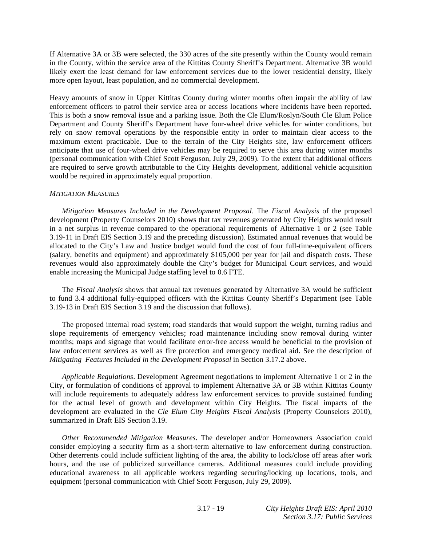If Alternative 3A or 3B were selected, the 330 acres of the site presently within the County would remain in the County, within the service area of the Kittitas County Sheriff's Department. Alternative 3B would likely exert the least demand for law enforcement services due to the lower residential density, likely more open layout, least population, and no commercial development.

Heavy amounts of snow in Upper Kittitas County during winter months often impair the ability of law enforcement officers to patrol their service area or access locations where incidents have been reported. This is both a snow removal issue and a parking issue. Both the Cle Elum/Roslyn/South Cle Elum Police Department and County Sheriff's Department have four-wheel drive vehicles for winter conditions, but rely on snow removal operations by the responsible entity in order to maintain clear access to the maximum extent practicable. Due to the terrain of the City Heights site, law enforcement officers anticipate that use of four-wheel drive vehicles may be required to serve this area during winter months (personal communication with Chief Scott Ferguson, July 29, 2009). To the extent that additional officers are required to serve growth attributable to the City Heights development, additional vehicle acquisition would be required in approximately equal proportion.

### *MITIGATION MEASURES*

*Mitigation Measures Included in the Development Proposal*. The *Fiscal Analysis* of the proposed development (Property Counselors 2010) shows that tax revenues generated by City Heights would result in a net surplus in revenue compared to the operational requirements of Alternative 1 or 2 (see Table 3.19-11 in Draft EIS Section 3.19 and the preceding discussion). Estimated annual revenues that would be allocated to the City's Law and Justice budget would fund the cost of four full-time-equivalent officers (salary, benefits and equipment) and approximately \$105,000 per year for jail and dispatch costs. These revenues would also approximately double the City's budget for Municipal Court services, and would enable increasing the Municipal Judge staffing level to 0.6 FTE.

 The *Fiscal Analysis* shows that annual tax revenues generated by Alternative 3A would be sufficient to fund 3.4 additional fully-equipped officers with the Kittitas County Sheriff's Department (see Table 3.19-13 in Draft EIS Section 3.19 and the discussion that follows).

 The proposed internal road system; road standards that would support the weight, turning radius and slope requirements of emergency vehicles; road maintenance including snow removal during winter months; maps and signage that would facilitate error-free access would be beneficial to the provision of law enforcement services as well as fire protection and emergency medical aid. See the description of *Mitigating Features Included in the Development Proposal* in Section 3.17.2 above.

*Applicable Regulations*. Development Agreement negotiations to implement Alternative 1 or 2 in the City, or formulation of conditions of approval to implement Alternative 3A or 3B within Kittitas County will include requirements to adequately address law enforcement services to provide sustained funding for the actual level of growth and development within City Heights. The fiscal impacts of the development are evaluated in the *Cle Elum City Heights Fiscal Analysis* (Property Counselors 2010), summarized in Draft EIS Section 3.19.

*Other Recommended Mitigation Measures*. The developer and/or Homeowners Association could consider employing a security firm as a short-term alternative to law enforcement during construction. Other deterrents could include sufficient lighting of the area, the ability to lock/close off areas after work hours, and the use of publicized surveillance cameras. Additional measures could include providing educational awareness to all applicable workers regarding securing/locking up locations, tools, and equipment (personal communication with Chief Scott Ferguson, July 29, 2009).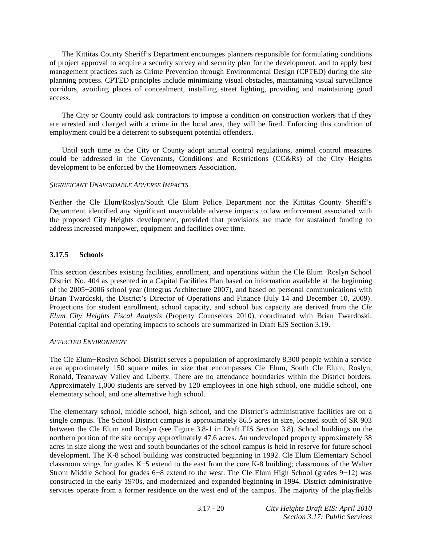The Kittitas County Sheriff's Department encourages planners responsible for formulating conditions of project approval to acquire a security survey and security plan for the development, and to apply best management practices such as Crime Prevention through Environmental Design (CPTED) during the site planning process. CPTED principles include minimizing visual obstacles, maintaining visual surveillance corridors, avoiding places of concealment, installing street lighting, providing and maintaining good access.

 The City or County could ask contractors to impose a condition on construction workers that if they are arrested and charged with a crime in the local area, they will be fired. Enforcing this condition of employment could be a deterrent to subsequent potential offenders.

 Until such time as the City or County adopt animal control regulations, animal control measures could be addressed in the Covenants, Conditions and Restrictions (CC&Rs) of the City Heights development to be enforced by the Homeowners Association.

### *SIGNIFICANT UNAVOIDABLE ADVERSE IMPACTS*

Neither the Cle Elum/Roslyn/South Cle Elum Police Department nor the Kittitas County Sheriff's Department identified any significant unavoidable adverse impacts to law enforcement associated with the proposed City Heights development, provided that provisions are made for sustained funding to address increased manpower, equipment and facilities over time.

## **3.17.5 Schools**

This section describes existing facilities, enrollment, and operations within the Cle Elum–Roslyn School District No. 404 as presented in a Capital Facilities Plan based on information available at the beginning of the 2005-2006 school year (Integrus Architecture 2007), and based on personal communications with Brian Twardoski, the District's Director of Operations and Finance (July 14 and December 10, 2009). Projections for student enrollment, school capacity, and school bus capacity are derived from the *Cle Elum City Heights Fiscal Analysis* (Property Counselors 2010), coordinated with Brian Twardoski. Potential capital and operating impacts to schools are summarized in Draft EIS Section 3.19.

### *AFFECTED ENVIRONMENT*

The Cle Elum-Roslyn School District serves a population of approximately 8,300 people within a service area approximately 150 square miles in size that encompasses Cle Elum, South Cle Elum, Roslyn, Ronald, Teanaway Valley and Liberty. There are no attendance boundaries within the District borders. Approximately 1,000 students are served by 120 employees in one high school, one middle school, one elementary school, and one alternative high school.

The elementary school, middle school, high school, and the District's administrative facilities are on a single campus. The School District campus is approximately 86.5 acres in size, located south of SR 903 between the Cle Elum and Roslyn (see Figure 3.8-1 in Draft EIS Section 3.8). School buildings on the northern portion of the site occupy approximately 47.6 acres. An undeveloped property approximately 38 acres in size along the west and south boundaries of the school campus is held in reserve for future school development. The K-8 school building was constructed beginning in 1992. Cle Elum Elementary School classroom wings for grades  $K-5$  extend to the east from the core  $K-8$  building; classrooms of the Walter Strom Middle School for grades  $6-8$  extend to the west. The Cle Elum High School (grades  $9-12$ ) was constructed in the early 1970s, and modernized and expanded beginning in 1994. District administrative services operate from a former residence on the west end of the campus. The majority of the playfields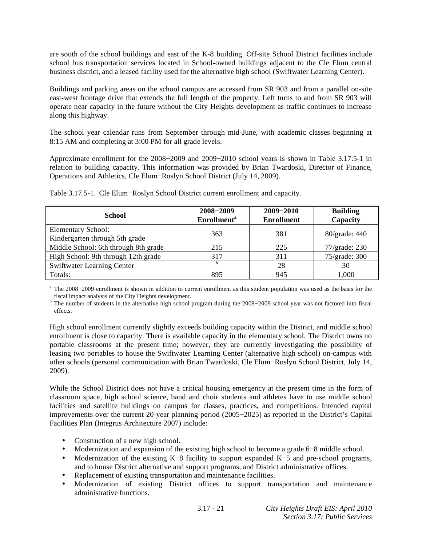are south of the school buildings and east of the K-8 building. Off-site School District facilities include school bus transportation services located in School-owned buildings adjacent to the Cle Elum central business district, and a leased facility used for the alternative high school (Swiftwater Learning Center).

Buildings and parking areas on the school campus are accessed from SR 903 and from a parallel on-site east-west frontage drive that extends the full length of the property. Left turns to and from SR 903 will operate near capacity in the future without the City Heights development as traffic continues to increase along this highway.

The school year calendar runs from September through mid-June, with academic classes beginning at 8:15 AM and completing at 3:00 PM for all grade levels.

Approximate enrollment for the 2008-2009 and 2009-2010 school years is shown in Table 3.17.5-1 in relation to building capacity. This information was provided by Brian Twardoski, Director of Finance, Operations and Athletics, Cle Elum-Roslyn School District (July 14, 2009).

| <b>School</b>                                               | 2008-2009<br><b>Enrollment</b> <sup>a</sup> | $2009 - 2010$<br><b>Enrollment</b> | <b>Building</b><br>Capacity |
|-------------------------------------------------------------|---------------------------------------------|------------------------------------|-----------------------------|
| <b>Elementary School:</b><br>Kindergarten through 5th grade | 363                                         | 381                                | 80/grade: 440               |
| Middle School: 6th through 8th grade                        | 215                                         | 225                                | 77/grade: 230               |
| High School: 9th through 12th grade                         | 317                                         | 311                                | 75/grade: 300               |
| <b>Swiftwater Learning Center</b>                           |                                             | 28                                 | 30                          |
| Totals:                                                     | 895                                         | 945                                | 1,000                       |

Table 3.17.5-1. Cle Elum-Roslyn School District current enrollment and capacity.

<sup>a</sup> The 2008-2009 enrollment is shown in addition to current enrollment as this student population was used as the basis for the fiscal impact analysis of the City Heights development. b

<sup>b</sup> The number of students in the alternative high school program during the 2008-2009 school year was not factored into fiscal effects.

High school enrollment currently slightly exceeds building capacity within the District, and middle school enrollment is close to capacity. There is available capacity in the elementary school. The District owns no portable classrooms at the present time; however, they are currently investigating the possibility of leasing two portables to house the Swiftwater Learning Center (alternative high school) on-campus with other schools (personal communication with Brian Twardoski, Cle Elum-Roslyn School District, July 14, 2009).

While the School District does not have a critical housing emergency at the present time in the form of classroom space, high school science, band and choir students and athletes have to use middle school facilities and satellite buildings on campus for classes, practices, and competitions. Intended capital improvements over the current 20-year planning period (2005–2025) as reported in the District's Capital Facilities Plan (Integrus Architecture 2007) include:

- Construction of a new high school.
- Modernization and expansion of the existing high school to become a grade  $6-8$  middle school.
- Modernization of the existing K-8 facility to support expanded K-5 and pre-school programs, and to house District alternative and support programs, and District administrative offices.
- Replacement of existing transportation and maintenance facilities.
- Modernization of existing District offices to support transportation and maintenance administrative functions.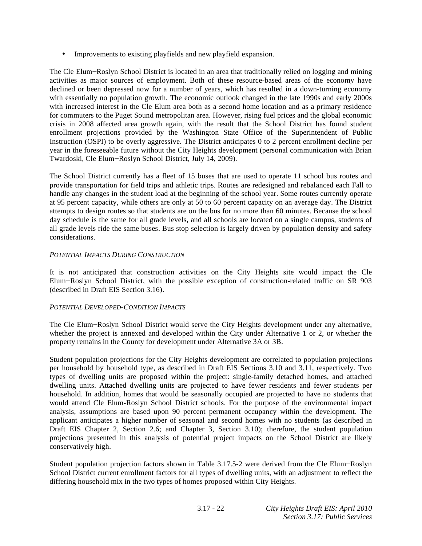• Improvements to existing playfields and new playfield expansion.

The Cle Elum-Roslyn School District is located in an area that traditionally relied on logging and mining activities as major sources of employment. Both of these resource-based areas of the economy have declined or been depressed now for a number of years, which has resulted in a down-turning economy with essentially no population growth. The economic outlook changed in the late 1990s and early 2000s with increased interest in the Cle Elum area both as a second home location and as a primary residence for commuters to the Puget Sound metropolitan area. However, rising fuel prices and the global economic crisis in 2008 affected area growth again, with the result that the School District has found student enrollment projections provided by the Washington State Office of the Superintendent of Public Instruction (OSPI) to be overly aggressive. The District anticipates 0 to 2 percent enrollment decline per year in the foreseeable future without the City Heights development (personal communication with Brian Twardoski, Cle Elum-Roslyn School District, July 14, 2009).

The School District currently has a fleet of 15 buses that are used to operate 11 school bus routes and provide transportation for field trips and athletic trips. Routes are redesigned and rebalanced each Fall to handle any changes in the student load at the beginning of the school year. Some routes currently operate at 95 percent capacity, while others are only at 50 to 60 percent capacity on an average day. The District attempts to design routes so that students are on the bus for no more than 60 minutes. Because the school day schedule is the same for all grade levels, and all schools are located on a single campus, students of all grade levels ride the same buses. Bus stop selection is largely driven by population density and safety considerations.

### *POTENTIAL IMPACTS DURING CONSTRUCTION*

It is not anticipated that construction activities on the City Heights site would impact the Cle Elum-Roslyn School District, with the possible exception of construction-related traffic on SR 903 (described in Draft EIS Section 3.16).

# *POTENTIAL DEVELOPED-CONDITION IMPACTS*

The Cle Elum-Roslyn School District would serve the City Heights development under any alternative, whether the project is annexed and developed within the City under Alternative 1 or 2, or whether the property remains in the County for development under Alternative 3A or 3B.

Student population projections for the City Heights development are correlated to population projections per household by household type, as described in Draft EIS Sections 3.10 and 3.11, respectively. Two types of dwelling units are proposed within the project: single-family detached homes, and attached dwelling units. Attached dwelling units are projected to have fewer residents and fewer students per household. In addition, homes that would be seasonally occupied are projected to have no students that would attend Cle Elum-Roslyn School District schools. For the purpose of the environmental impact analysis, assumptions are based upon 90 percent permanent occupancy within the development. The applicant anticipates a higher number of seasonal and second homes with no students (as described in Draft EIS Chapter 2, Section 2.6; and Chapter 3, Section 3.10); therefore, the student population projections presented in this analysis of potential project impacts on the School District are likely conservatively high.

Student population projection factors shown in Table 3.17.5-2 were derived from the Cle Elum-Roslyn School District current enrollment factors for all types of dwelling units, with an adjustment to reflect the differing household mix in the two types of homes proposed within City Heights.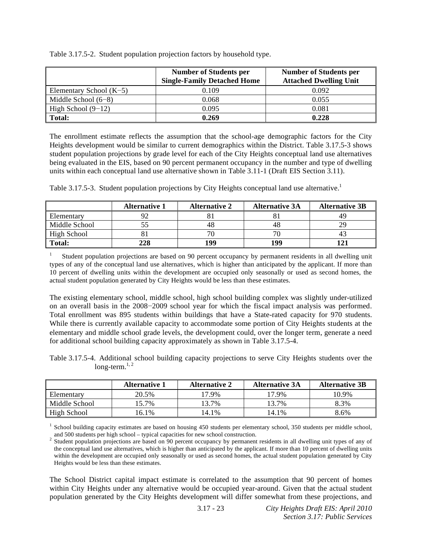|                           | <b>Number of Students per</b><br><b>Single-Family Detached Home</b> | <b>Number of Students per</b><br><b>Attached Dwelling Unit</b> |
|---------------------------|---------------------------------------------------------------------|----------------------------------------------------------------|
| Elementary School $(K-5)$ | 0.109                                                               | 0.092                                                          |
| Middle School $(6-8)$     | 0.068                                                               | 0.055                                                          |
| High School $(9-12)$      | 0.095                                                               | 0.081                                                          |
| Total:                    | 0.269                                                               | 0.228                                                          |

Table 3.17.5-2. Student population projection factors by household type.

The enrollment estimate reflects the assumption that the school-age demographic factors for the City Heights development would be similar to current demographics within the District. Table 3.17.5-3 shows student population projections by grade level for each of the City Heights conceptual land use alternatives being evaluated in the EIS, based on 90 percent permanent occupancy in the number and type of dwelling units within each conceptual land use alternative shown in Table 3.11-1 (Draft EIS Section 3.11).

Table 3.17.5-3. Student population projections by City Heights conceptual land use alternative.<sup>1</sup>

|                    | <b>Alternative 1</b> | <b>Alternative 2</b> | <b>Alternative 3A</b> | <b>Alternative 3B</b> |
|--------------------|----------------------|----------------------|-----------------------|-----------------------|
| <b>Elementary</b>  |                      |                      |                       |                       |
| Middle School      |                      |                      | 48                    | າດ                    |
| <b>High School</b> |                      |                      | חדי                   |                       |
| Total:             | 228                  | 99                   | 199                   |                       |

1 Student population projections are based on 90 percent occupancy by permanent residents in all dwelling unit types of any of the conceptual land use alternatives, which is higher than anticipated by the applicant. If more than 10 percent of dwelling units within the development are occupied only seasonally or used as second homes, the actual student population generated by City Heights would be less than these estimates.

The existing elementary school, middle school, high school building complex was slightly under-utilized on an overall basis in the 2008-2009 school year for which the fiscal impact analysis was performed. Total enrollment was 895 students within buildings that have a State-rated capacity for 970 students. While there is currently available capacity to accommodate some portion of City Heights students at the elementary and middle school grade levels, the development could, over the longer term, generate a need for additional school building capacity approximately as shown in Table 3.17.5-4.

Table 3.17.5-4. Additional school building capacity projections to serve City Heights students over the long-term. $1, 2$ 

|               | <b>Alternative 1</b> | <b>Alternative 2</b> | <b>Alternative 3A</b> | <b>Alternative 3B</b> |
|---------------|----------------------|----------------------|-----------------------|-----------------------|
| Elementary    | 20.5%                | 17.9%                | 17.9%                 | 10.9%                 |
| Middle School | 5.7%                 | 13.7%                | 13.7%                 | 8.3%                  |
| High School   | $6.1\%$              | 14.1%                | 14.1%                 | 8.6%                  |

<sup>1</sup> School building capacity estimates are based on housing 450 students per elementary school, 350 students per middle school,

and 500 students per high school – typical capacities for new school construction.<br><sup>2</sup> Student population projections are based on 90 percent occupancy by permanent residents in all dwelling unit types of any of the conceptual land use alternatives, which is higher than anticipated by the applicant. If more than 10 percent of dwelling units within the development are occupied only seasonally or used as second homes, the actual student population generated by City Heights would be less than these estimates.

The School District capital impact estimate is correlated to the assumption that 90 percent of homes within City Heights under any alternative would be occupied year-around. Given that the actual student population generated by the City Heights development will differ somewhat from these projections, and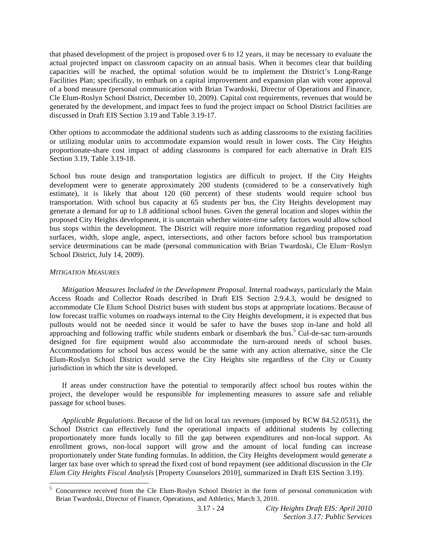that phased development of the project is proposed over 6 to 12 years, it may be necessary to evaluate the actual projected impact on classroom capacity on an annual basis. When it becomes clear that building capacities will be reached, the optimal solution would be to implement the District's Long-Range Facilities Plan; specifically, to embark on a capital improvement and expansion plan with voter approval of a bond measure (personal communication with Brian Twardoski, Director of Operations and Finance, Cle Elum-Roslyn School District, December 10, 2009). Capital cost requirements, revenues that would be generated by the development, and impact fees to fund the project impact on School District facilities are discussed in Draft EIS Section 3.19 and Table 3.19-17.

Other options to accommodate the additional students such as adding classrooms to the existing facilities or utilizing modular units to accommodate expansion would result in lower costs. The City Heights proportionate-share cost impact of adding classrooms is compared for each alternative in Draft EIS Section 3.19, Table 3.19-18.

School bus route design and transportation logistics are difficult to project. If the City Heights development were to generate approximately 200 students (considered to be a conservatively high estimate), it is likely that about 120 (60 percent) of these students would require school bus transportation. With school bus capacity at 65 students per bus, the City Heights development may generate a demand for up to 1.8 additional school buses. Given the general location and slopes within the proposed City Heights development, it is uncertain whether winter-time safety factors would allow school bus stops within the development. The District will require more information regarding proposed road surfaces, width, slope angle, aspect, intersections, and other factors before school bus transportation service determinations can be made (personal communication with Brian Twardoski, Cle Elum-Roslyn School District, July 14, 2009).

#### *MITIGATION MEASURES*

l

*Mitigation Measures Included in the Development Proposal*. Internal roadways, particularly the Main Access Roads and Collector Roads described in Draft EIS Section 2.9.4.3, would be designed to accommodate Cle Elum School District buses with student bus stops at appropriate locations. Because of low forecast traffic volumes on roadways internal to the City Heights development, it is expected that bus pullouts would not be needed since it would be safer to have the buses stop in-lane and hold all approaching and following traffic while students embark or disembark the bus.<sup>5</sup> Cul-de-sac turn-arounds designed for fire equipment would also accommodate the turn-around needs of school buses. Accommodations for school bus access would be the same with any action alternative, since the Cle Elum-Roslyn School District would serve the City Heights site regardless of the City or County jurisdiction in which the site is developed.

 If areas under construction have the potential to temporarily affect school bus routes within the project, the developer would be responsible for implementing measures to assure safe and reliable passage for school buses.

*Applicable Regulations*. Because of the lid on local tax revenues (imposed by RCW 84.52.0531), the School District can effectively fund the operational impacts of additional students by collecting proportionately more funds locally to fill the gap between expenditures and non-local support. As enrollment grows, non-local support will grow and the amount of local funding can increase proportionately under State funding formulas. In addition, the City Heights development would generate a larger tax base over which to spread the fixed cost of bond repayment (see additional discussion in the *Cle Elum City Heights Fiscal Analysis* [Property Counselors 2010], summarized in Draft EIS Section 3.19).

<sup>&</sup>lt;sup>5</sup> Concurrence received from the Cle Elum-Roslyn School District in the form of personal communication with Brian Twardoski, Director of Finance, Operations, and Athletics, March 3, 2010.